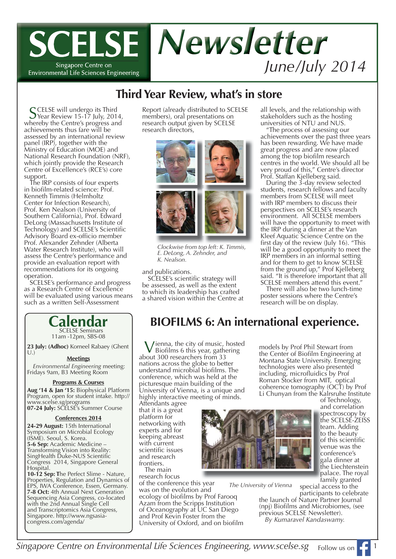

# **Third Year Review, what's in store**

SCELSE will undergo its Third<br>
Year Review 15-17 July, 2014, whereby the Centre's progress and achievements thus fare will be assessed by an international review panel (IRP), together with the Ministry of Education (MOE) and National Research Foundation (NRF), which jointly provide the Research Centre of Excellence's (RCE's) core support.

The IRP consists of four experts in biofilm-related science: Prof. Kenneth Timmis (Helmholtz Center for Infection Research), Prof. Ken Nealson (University of Southern California), Prof. Edward DeLong (Massachusetts Institute of Technology) and SCELSE's Scientific Advisory Board ex-officio member Prof. Alexander Zehnder (Alberta Water Research Institute), who will assess the Centre's performance and provide an evaluation report with recommendations for its ongoing operation.

SCELSE's performance and progress as a Research Centre of Excellence will be evaluated using various means such as a written Self-Assessment

## **Calendar** SCELSE Seminars

11am -12pm, SBS-08

23 July: (Adhoc) Korneel Rabaey (Ghent  $U.$ )

### **Meetings**

*Environmental Engineering* meeting: Fridays 9am, B3 Meeting Room

#### **Programs & Courses**

**Aug '14 & Jan '15:** Biophysical Platform Program, open for student intake. http:// www.scelse.sg/programs **07-24 July:** SCELSE's Summer Course

### **Conferences 2014**

**24-29 August:** 15th International Symposium on Microbial Ecology (ISME). Seoul, S. Korea. **5-6 Sep:** Academic Medicine – Transforming Vision into Reality: SingHealth Duke-NUS Scientific Congress 2014, Singapore General Hospital.

**10-12 Sep: T**he Perfect Slime - Nature, Properties, Regulation and Dynamics of EPS, IWA Conference, Essen, Germany. **7-8 Oct:** 4th Annual Next Generation Sequencing Asia Congress, co-located with the 2nd Annual Single Cell and Transcriptomics Asia Congress, Singapore. http://www.ngsasiacongress.com/agenda/

Report (already distributed to SCELSE members), oral presentations on research output given by SCELSE research directors,



*Clockwise from top left: K. Timmis, E. DeLong, A. Zehnder, and K. Nealson.*

and publications.<br>SCELSE's scientific strategy will be assessed, as well as the extent to which its leadership has crafted a shared vision within the Centre at all levels, and the relationship with stakeholders such as the hosting universities of NTU and NUS.

"The process of assessing our achievements over the past three years has been rewarding. We have made great progress and are now placed among the top biofilm research centres in the world. We should all be very proud of this," Centre's director Prof. Staffan Kjelleberg said.

During the 3-day review selected students, research fellows and faculty members from SCELSE will meet with IRP members to discuss their perspectives on SCELSE's research environment. All SCELSE members will have the opportunity to meet with the IRP during a dinner at the Van Kleef Aquatic Science Centre on the first day of the review (July 16). "This will be a good opportunity to meet the IRP members in an informal setting and for them to get to know SCELSE from the ground up," Prof Kjelleberg said. "It is therefore important that all SCELSE members attend this event.

There will also be two lunch-time poster sessions where the Centre's research will be on display.

models by Prof Phil Stewart from the Center of Biofilm Engineering at Montana State University. Emerging technologies were also presented including, microfluidics by Prof Roman Stocker from MIT, optical coherence tomography (OCT) by Prof

# **BIOFILMS 6: An international experience.**

Vienna, the city of music, hosted Biofilms 6 this year, gathering about 300 researchers from 33 nations across the globe to better understand microbial biofilms. The conference, which was held at the picturesque main building of the University of Vienna, is a unique and highly interactive meeting of minds.

Attendants agree that it is a great platform for networking with experts and for keeping abreast with current scientific issues and research frontiers. The main

research focus of the conference this year

was on the evolution and ecology of biofilms by Prof Farooq Azam from the Scripps Institution of Oceanography at UC San Diego and Prof Kevin Foster from the University of Oxford, and on biofilm



*The University of Vienna*

Li Chunyan from the Kalrsruhe Institute of Technology, and correlation a spectroscopy by s the SCELSE-ZEISS t team. Adding to the beauty of this scientific venue was the v conference's c gala dinner at g the Liechtenstein palace. The royal p family granted f

special access to the participants to celebrate

the launch of Nature Partner Journal (npj) Biofilms and Microbiomes, (see previous SCELSE Newsletter). *By Kumaravel Kandaswamy.*